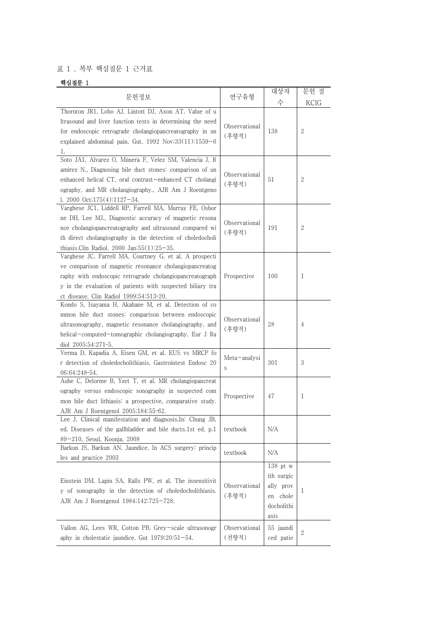## 표 1 . 복부 핵심질문 1 근거표

## 핵심질문 1

|                                                                                                                                                                                                                                                                                             |                        | 대상자                                                                     | 문헌 질         |
|---------------------------------------------------------------------------------------------------------------------------------------------------------------------------------------------------------------------------------------------------------------------------------------------|------------------------|-------------------------------------------------------------------------|--------------|
| 문헌정보                                                                                                                                                                                                                                                                                        | 연구유형                   | 수                                                                       | KCIG         |
| Thornton JR1, Lobo AJ, Lintott DJ, Axon AT. Value of u<br>Itrasound and liver function tests in determining the need<br>for endoscopic retrograde cholangiopancreatography in un<br>explained abdominal pain. Gut. 1992 Nov;33(11):1559-6<br>1.                                             | Observational<br>(후향적) | 138                                                                     | $\mathbf{2}$ |
| Soto JA1, Alvarez O, Múnera F, Velez SM, Valencia J, R<br>amírez N., Diagnosing bile duct stones: comparison of un<br>enhanced helical CT, oral contrast-enhanced CT cholangi<br>ography, and MR cholangiography., AJR Am J Roentgeno<br>1. 2000 Oct; $175(4)$ : $1127-34$ .                | Observational<br>(후향적) | 51                                                                      | 2            |
| Varghese JC1, Liddell RP, Farrell MA, Murray FE, Osbor<br>ne DH, Lee MJ., Diagnostic accuracy of magnetic resona<br>nce cholangiopancreatography and ultrasound compared wi<br>th direct cholangiography in the detection of choledocholi<br>thiasis.Clin Radiol. 2000 Jan; $55(1):25-35$ . | Observational<br>(후향적) | 191                                                                     | 2            |
| Varghese JC, Farrell MA, Courtney G, et al. A prospecti<br>ve comparison of magnetic resonance cholangiopancreatog<br>raphy with endoscopic retrograde cholangiopancreatograph<br>y in the evaluation of patients with suspected biliary tra<br>ct disease. Clin Radiol 1999;54:513-20.     | Prospective            | 100                                                                     | 1            |
| Kondo S, Isayama H, Akahane M, et al. Detection of co<br>mmon bile duct stones: comparison between endoscopic<br>ultrasonography, magnetic resonance cholangiography, and<br>helical-computed-tomographic cholangiography. Eur J Ra<br>diol 2005;54:271-5.                                  | Observational<br>(후향적) | 28                                                                      | 4            |
| Verma D, Kapadia A, Eisen GM, et al. EUS vs MRCP fo<br>r detection of choledocholithiasis. Gastrointest Endosc 20<br>06;64:248-54.                                                                                                                                                          | Meta-analysi<br>S      | 301                                                                     | 3            |
| Aube C, Delorme B, Yzet T, et al. MR cholangiopancreat<br>ography versus endoscopic sonography in suspected com<br>mon bile duct lithiasis: a prospective, comparative study.<br>AJR Am J Roentgenol 2005;184:55-62.                                                                        | Prospective            | 47                                                                      | 1            |
| Lee J. Clinical manifestation and diagnosis. In: Chung JB,<br>ed. Diseases of the gallbladder and bile ducts.1st ed. p.1<br>89-210, Seoul, Koonja, 2008                                                                                                                                     | textbook               | N/A                                                                     |              |
| Barkun JS, Barkun AN. Jaundice. In ACS surgery: princip<br>les and practice 2003                                                                                                                                                                                                            | textbook               | N/A                                                                     |              |
| Einstein DM, Lapin SA, Ralls PW, et al. The insensitivit<br>y of sonography in the detection of choledocholithiasis.<br>AJR Am J Roentgenol 1984;142:725-728.                                                                                                                               | Observational<br>(후향적) | $138$ pt w<br>ith surgic<br>ally prov<br>en chole<br>docholithi<br>asis | 1            |
| Vallon AG, Lees WR, Cotton PB. Grey-scale ultrasonogr<br>aphy in cholestatic jaundice. Gut 1979;20:51-54.                                                                                                                                                                                   | Observational<br>(전향적) | 55 jaundi<br>ced patie                                                  | $\mathbf{2}$ |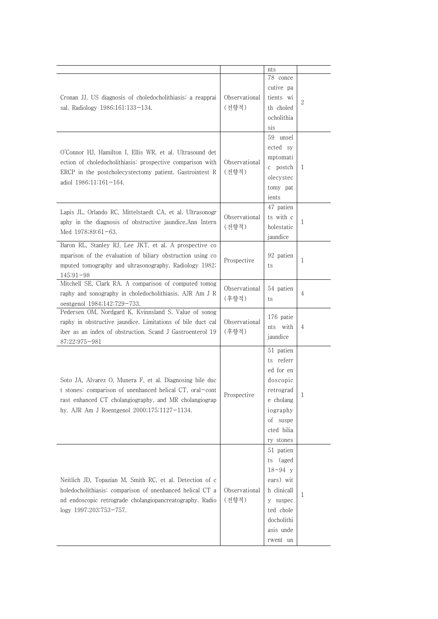|                                                                                                                                                                                                                               |                        | nts                                                                                                                                 |   |  |
|-------------------------------------------------------------------------------------------------------------------------------------------------------------------------------------------------------------------------------|------------------------|-------------------------------------------------------------------------------------------------------------------------------------|---|--|
| Cronan JJ. US diagnosis of choledocholithiasis: a reapprai<br>sal. Radiology 1986;161:133-134.                                                                                                                                | Observational<br>(전향적) | 78 conce<br>cutive pa<br>tients wi<br>th choled<br>ocholithia<br>sis                                                                | 2 |  |
| O'Connor HJ, Hamilton I, Ellis WR, et al. Ultrasound det<br>ection of choledocholithiasis: prospective comparison with<br>ERCP in the postcholecystectomy patient. Gastrointest R<br>adiol 1986;11:161-164.                   | Observational<br>(전향적) | 59 unsel<br>ected sy<br>mptomati<br>c postch<br>olecystec<br>tomy pat<br>ients                                                      | 1 |  |
| Lapis JL, Orlando RC, Mittelstaedt CA, et al. Ultrasonogr<br>aphy in the diagnosis of obstructive jaundice. Ann Intern<br>Med $1978;89:61-63$ .                                                                               | Observational<br>(전향적) | 47 patien<br>ts with c<br>holestatic<br>jaundice                                                                                    | 1 |  |
| Baron RL, Stanley RJ, Lee JKT, et al. A prospective co<br>mparison of the evaluation of biliary obstruction using co<br>mputed tomography and ultrasonography. Radiology 1982;<br>$145:91-98$                                 | Prospective            | 92 patien<br>ts                                                                                                                     | 1 |  |
| Mitchell SE, Clark RA. A comparison of computed tomog<br>raphy and sonography in choledocholithiasis. AJR Am J R<br>oentgenol 1984;142:729-733.                                                                               | Observational<br>(후향적) | 54 patien<br>ts                                                                                                                     | 4 |  |
| Pedersen OM, Nordgard K, Kvinnsland S. Value of sonog<br>raphy in obstructive jaundice. Limitations of bile duct cal<br>iber as an index of obstruction. Scand J Gastroenterol 19<br>87;22:975-981                            | Observational<br>(후향적) | 176 patie<br>nts with<br>jaundice                                                                                                   | 4 |  |
| Soto JA, Alvarez O, Munera F, et al. Diagnosing bile duc<br>t stones: comparison of unenhanced helical CT, oral-cont<br>rast enhanced CT cholangiography, and MR cholangiograp<br>hy. AJR Am J Roentgenol 2000;175:1127-1134. | Prospective            | 51 patien<br>ts referr<br>ed for en<br>doscopic<br>retrograd<br>e cholang<br>iography<br>of suspe<br>cted bilia<br>ry stones        | T |  |
| Neitlich JD, Topazian M, Smith RC, et al. Detection of c<br>holedocholithiasis: comparison of unenhanced helical CT a<br>nd endoscopic retrograde cholangiopancreatography. Radio<br>logy 1997;203:753-757.                   | Observational<br>(전향적) | 51 patien<br>(aged<br>ts<br>$18 - 94$ y<br>ears) wit<br>h clinicall<br>y suspec<br>ted chole<br>docholithi<br>asis unde<br>rwent un | 1 |  |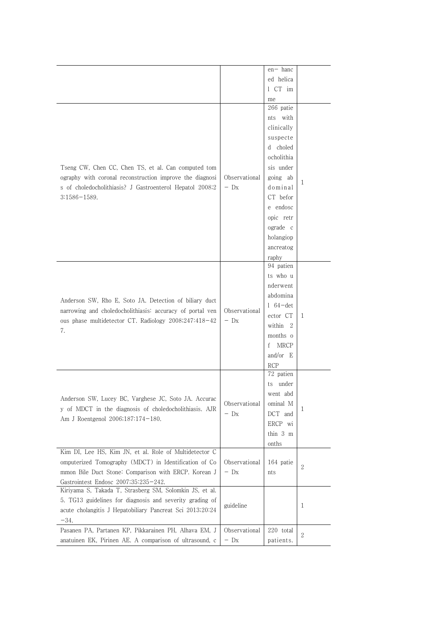| $en-$ hanc<br>ed helica<br>1 CT im<br>me<br>266 patie<br>nts with                                     |
|-------------------------------------------------------------------------------------------------------|
|                                                                                                       |
|                                                                                                       |
|                                                                                                       |
|                                                                                                       |
|                                                                                                       |
| clinically                                                                                            |
| suspecte                                                                                              |
| d choled                                                                                              |
| ocholithia                                                                                            |
| Tseng CW, Chen CC, Chen TS, et al. Can computed tom<br>sis under                                      |
| ography with coronal reconstruction improve the diagnosi<br>Observational<br>going ab<br>1            |
| $-$ Dx<br>s of choledocholithiasis? J Gastroenterol Hepatol 2008;2<br>dominal                         |
| CT befor<br>$3:1586 - 1589.$                                                                          |
| e endosc                                                                                              |
| opic retr                                                                                             |
| ograde c                                                                                              |
| holangiop                                                                                             |
| ancreatog                                                                                             |
| raphy                                                                                                 |
| 94 patien                                                                                             |
| ts who u                                                                                              |
| nderwent                                                                                              |
| abdomina<br>Anderson SW, Rho E, Soto JA. Detection of biliary duct                                    |
| $1\,64$ – det<br>narrowing and choledocholithiasis: accuracy of portal ven<br>Observational           |
| ector CT<br>1<br>ous phase multidetector CT. Radiology 2008;247:418-42<br>$-$ Dx                      |
| within 2<br>7.                                                                                        |
| months o                                                                                              |
| <b>MRCP</b><br>f                                                                                      |
| and/or $E$                                                                                            |
| <b>RCP</b>                                                                                            |
| 72 patien                                                                                             |
| ts under                                                                                              |
| went abd<br>Anderson SW, Lucey BC, Varghese JC, Soto JA. Accurac                                      |
| Observational<br>ominal M<br>y of MDCT in the diagnosis of choledocholithiasis. AJR<br>1              |
| $-$ Dx<br>DCT and<br>Am J Roentgenol 2006;187:174-180.                                                |
| ERCP wi                                                                                               |
| thin 3 m                                                                                              |
| onths                                                                                                 |
| Kim DI, Lee HS, Kim JN, et al. Role of Multidetector C                                                |
| omputerized Tomography (MDCT) in Identification of Co<br>Observational<br>164 patie<br>$\mathbf{2}$   |
| mmon Bile Duct Stone: Comparison with ERCP. Korean J<br>$-$ Dx<br>nts                                 |
| Gastrointest Endosc 2007;35:235-242.                                                                  |
| Kiriyama S, Takada T, Strasberg SM, Solomkin JS, et al.                                               |
| 5. TG13 guidelines for diagnosis and severity grading of<br>guideline<br>1                            |
| acute cholangitis J Hepatobiliary Pancreat Sci 2013;20:24                                             |
| $-34.$                                                                                                |
| Observational<br>Pasanen PA, Partanen KP, Pikkarainen PH, Alhava EM, J<br>220 total<br>$\overline{2}$ |
| anatuinen EK, Pirinen AE. A comparison of ultrasound, c<br>$-$ Dx<br>patients.                        |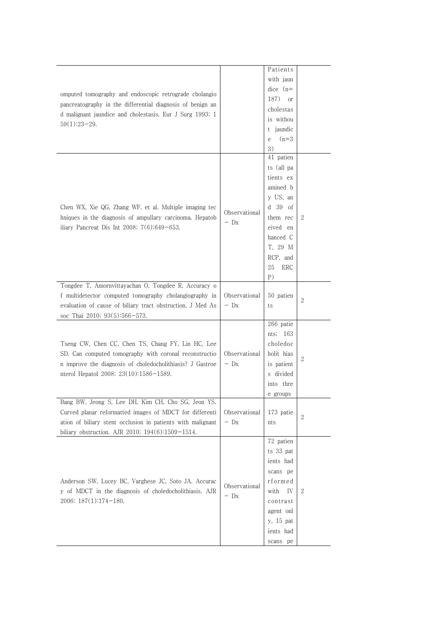| Patients<br>with jaun<br>$dice (n=$<br>omputed tomography and endoscopic retrograde cholangio<br>187)<br><sub>or</sub><br>pancreatography in the differential diagnosis of benign an<br>cholestas<br>d malignant jaundice and cholestasis. Eur J Surg 1993; 1<br>is withou<br>$59(1):23-29.$<br>t jaundic<br>$(n=3)$<br>e<br>3)<br>41 patien<br>ts (all pa<br>tients ex<br>amined b<br>y US, an<br>d 39 of<br>Chen WX, Xie QG, Zhang WF, et al. Multiple imaging tec<br>Observational<br>hniques in the diagnosis of ampullary carcinoma. Hepatob<br>2<br>them rec<br>$-$ Dx<br>iliary Pancreat Dis Int 2008; $7(6):649-653$ .<br>eived en<br>hanced C<br>T, 29 M<br>RCP, and<br>25<br>ERC<br>P)<br>Tongdee T, Amornvittayachan O, Tongdee R. Accuracy o<br>f multidetector computed tomography cholangiography in<br>Observational<br>50 patien<br>$\boldsymbol{2}$<br>evaluation of cause of biliary tract obstruction. J Med As<br>$-$ Dx<br>ts<br>soc Thai 2010; 93(5):566-573.<br>266 patie<br>nts; $163$<br>Tseng CW, Chen CC, Chen TS, Chang FY, Lin HC, Lee<br>choledoc<br>SD. Can computed tomography with coronal reconstructio<br>holit hias<br>Observational<br>$\overline{2}$<br>n improve the diagnosis of choledocholithiasis? J Gastroe<br>is patient<br>$-$ Dx<br>nterol Hepatol 2008; 23(10):1586-1589.<br>s divided<br>into thre<br>e groups<br>Bang BW, Jeong S, Lee DH, Kim CH, Cho SG, Jeon YS.<br>Curved planar reformatted images of MDCT for differenti<br>Observational<br>173 patie<br>2<br>ation of biliary stent occlusion in patients with malignant<br>$-$ Dx<br>nts<br>biliary obstruction. AJR 2010; 194(6):1509-1514.<br>72 patien<br>ts 33 pat<br>ients had<br>scans pe<br>Anderson SW, Lucey BC, Varghese JC, Soto JA. Accurac<br>rformed<br>Observational<br>with IV<br>$\mathbf{2}$<br>y of MDCT in the diagnosis of choledocholithiasis. AJR<br>$-$ Dx<br>2006; 187(1):174-180.<br>contrast<br>agent onl<br>y, 15 pat<br>ients had<br>scans pe |  |  |  |
|---------------------------------------------------------------------------------------------------------------------------------------------------------------------------------------------------------------------------------------------------------------------------------------------------------------------------------------------------------------------------------------------------------------------------------------------------------------------------------------------------------------------------------------------------------------------------------------------------------------------------------------------------------------------------------------------------------------------------------------------------------------------------------------------------------------------------------------------------------------------------------------------------------------------------------------------------------------------------------------------------------------------------------------------------------------------------------------------------------------------------------------------------------------------------------------------------------------------------------------------------------------------------------------------------------------------------------------------------------------------------------------------------------------------------------------------------------------------------------------------------------------------------------------------------------------------------------------------------------------------------------------------------------------------------------------------------------------------------------------------------------------------------------------------------------------------------------------------------------------------------------------------------------------------------------------------------------------------------------------|--|--|--|
|                                                                                                                                                                                                                                                                                                                                                                                                                                                                                                                                                                                                                                                                                                                                                                                                                                                                                                                                                                                                                                                                                                                                                                                                                                                                                                                                                                                                                                                                                                                                                                                                                                                                                                                                                                                                                                                                                                                                                                                       |  |  |  |
|                                                                                                                                                                                                                                                                                                                                                                                                                                                                                                                                                                                                                                                                                                                                                                                                                                                                                                                                                                                                                                                                                                                                                                                                                                                                                                                                                                                                                                                                                                                                                                                                                                                                                                                                                                                                                                                                                                                                                                                       |  |  |  |
|                                                                                                                                                                                                                                                                                                                                                                                                                                                                                                                                                                                                                                                                                                                                                                                                                                                                                                                                                                                                                                                                                                                                                                                                                                                                                                                                                                                                                                                                                                                                                                                                                                                                                                                                                                                                                                                                                                                                                                                       |  |  |  |
|                                                                                                                                                                                                                                                                                                                                                                                                                                                                                                                                                                                                                                                                                                                                                                                                                                                                                                                                                                                                                                                                                                                                                                                                                                                                                                                                                                                                                                                                                                                                                                                                                                                                                                                                                                                                                                                                                                                                                                                       |  |  |  |
|                                                                                                                                                                                                                                                                                                                                                                                                                                                                                                                                                                                                                                                                                                                                                                                                                                                                                                                                                                                                                                                                                                                                                                                                                                                                                                                                                                                                                                                                                                                                                                                                                                                                                                                                                                                                                                                                                                                                                                                       |  |  |  |
|                                                                                                                                                                                                                                                                                                                                                                                                                                                                                                                                                                                                                                                                                                                                                                                                                                                                                                                                                                                                                                                                                                                                                                                                                                                                                                                                                                                                                                                                                                                                                                                                                                                                                                                                                                                                                                                                                                                                                                                       |  |  |  |
|                                                                                                                                                                                                                                                                                                                                                                                                                                                                                                                                                                                                                                                                                                                                                                                                                                                                                                                                                                                                                                                                                                                                                                                                                                                                                                                                                                                                                                                                                                                                                                                                                                                                                                                                                                                                                                                                                                                                                                                       |  |  |  |
|                                                                                                                                                                                                                                                                                                                                                                                                                                                                                                                                                                                                                                                                                                                                                                                                                                                                                                                                                                                                                                                                                                                                                                                                                                                                                                                                                                                                                                                                                                                                                                                                                                                                                                                                                                                                                                                                                                                                                                                       |  |  |  |
|                                                                                                                                                                                                                                                                                                                                                                                                                                                                                                                                                                                                                                                                                                                                                                                                                                                                                                                                                                                                                                                                                                                                                                                                                                                                                                                                                                                                                                                                                                                                                                                                                                                                                                                                                                                                                                                                                                                                                                                       |  |  |  |
|                                                                                                                                                                                                                                                                                                                                                                                                                                                                                                                                                                                                                                                                                                                                                                                                                                                                                                                                                                                                                                                                                                                                                                                                                                                                                                                                                                                                                                                                                                                                                                                                                                                                                                                                                                                                                                                                                                                                                                                       |  |  |  |
|                                                                                                                                                                                                                                                                                                                                                                                                                                                                                                                                                                                                                                                                                                                                                                                                                                                                                                                                                                                                                                                                                                                                                                                                                                                                                                                                                                                                                                                                                                                                                                                                                                                                                                                                                                                                                                                                                                                                                                                       |  |  |  |
|                                                                                                                                                                                                                                                                                                                                                                                                                                                                                                                                                                                                                                                                                                                                                                                                                                                                                                                                                                                                                                                                                                                                                                                                                                                                                                                                                                                                                                                                                                                                                                                                                                                                                                                                                                                                                                                                                                                                                                                       |  |  |  |
|                                                                                                                                                                                                                                                                                                                                                                                                                                                                                                                                                                                                                                                                                                                                                                                                                                                                                                                                                                                                                                                                                                                                                                                                                                                                                                                                                                                                                                                                                                                                                                                                                                                                                                                                                                                                                                                                                                                                                                                       |  |  |  |
|                                                                                                                                                                                                                                                                                                                                                                                                                                                                                                                                                                                                                                                                                                                                                                                                                                                                                                                                                                                                                                                                                                                                                                                                                                                                                                                                                                                                                                                                                                                                                                                                                                                                                                                                                                                                                                                                                                                                                                                       |  |  |  |
|                                                                                                                                                                                                                                                                                                                                                                                                                                                                                                                                                                                                                                                                                                                                                                                                                                                                                                                                                                                                                                                                                                                                                                                                                                                                                                                                                                                                                                                                                                                                                                                                                                                                                                                                                                                                                                                                                                                                                                                       |  |  |  |
|                                                                                                                                                                                                                                                                                                                                                                                                                                                                                                                                                                                                                                                                                                                                                                                                                                                                                                                                                                                                                                                                                                                                                                                                                                                                                                                                                                                                                                                                                                                                                                                                                                                                                                                                                                                                                                                                                                                                                                                       |  |  |  |
|                                                                                                                                                                                                                                                                                                                                                                                                                                                                                                                                                                                                                                                                                                                                                                                                                                                                                                                                                                                                                                                                                                                                                                                                                                                                                                                                                                                                                                                                                                                                                                                                                                                                                                                                                                                                                                                                                                                                                                                       |  |  |  |
|                                                                                                                                                                                                                                                                                                                                                                                                                                                                                                                                                                                                                                                                                                                                                                                                                                                                                                                                                                                                                                                                                                                                                                                                                                                                                                                                                                                                                                                                                                                                                                                                                                                                                                                                                                                                                                                                                                                                                                                       |  |  |  |
|                                                                                                                                                                                                                                                                                                                                                                                                                                                                                                                                                                                                                                                                                                                                                                                                                                                                                                                                                                                                                                                                                                                                                                                                                                                                                                                                                                                                                                                                                                                                                                                                                                                                                                                                                                                                                                                                                                                                                                                       |  |  |  |
|                                                                                                                                                                                                                                                                                                                                                                                                                                                                                                                                                                                                                                                                                                                                                                                                                                                                                                                                                                                                                                                                                                                                                                                                                                                                                                                                                                                                                                                                                                                                                                                                                                                                                                                                                                                                                                                                                                                                                                                       |  |  |  |
|                                                                                                                                                                                                                                                                                                                                                                                                                                                                                                                                                                                                                                                                                                                                                                                                                                                                                                                                                                                                                                                                                                                                                                                                                                                                                                                                                                                                                                                                                                                                                                                                                                                                                                                                                                                                                                                                                                                                                                                       |  |  |  |
|                                                                                                                                                                                                                                                                                                                                                                                                                                                                                                                                                                                                                                                                                                                                                                                                                                                                                                                                                                                                                                                                                                                                                                                                                                                                                                                                                                                                                                                                                                                                                                                                                                                                                                                                                                                                                                                                                                                                                                                       |  |  |  |
|                                                                                                                                                                                                                                                                                                                                                                                                                                                                                                                                                                                                                                                                                                                                                                                                                                                                                                                                                                                                                                                                                                                                                                                                                                                                                                                                                                                                                                                                                                                                                                                                                                                                                                                                                                                                                                                                                                                                                                                       |  |  |  |
|                                                                                                                                                                                                                                                                                                                                                                                                                                                                                                                                                                                                                                                                                                                                                                                                                                                                                                                                                                                                                                                                                                                                                                                                                                                                                                                                                                                                                                                                                                                                                                                                                                                                                                                                                                                                                                                                                                                                                                                       |  |  |  |
|                                                                                                                                                                                                                                                                                                                                                                                                                                                                                                                                                                                                                                                                                                                                                                                                                                                                                                                                                                                                                                                                                                                                                                                                                                                                                                                                                                                                                                                                                                                                                                                                                                                                                                                                                                                                                                                                                                                                                                                       |  |  |  |
|                                                                                                                                                                                                                                                                                                                                                                                                                                                                                                                                                                                                                                                                                                                                                                                                                                                                                                                                                                                                                                                                                                                                                                                                                                                                                                                                                                                                                                                                                                                                                                                                                                                                                                                                                                                                                                                                                                                                                                                       |  |  |  |
|                                                                                                                                                                                                                                                                                                                                                                                                                                                                                                                                                                                                                                                                                                                                                                                                                                                                                                                                                                                                                                                                                                                                                                                                                                                                                                                                                                                                                                                                                                                                                                                                                                                                                                                                                                                                                                                                                                                                                                                       |  |  |  |
|                                                                                                                                                                                                                                                                                                                                                                                                                                                                                                                                                                                                                                                                                                                                                                                                                                                                                                                                                                                                                                                                                                                                                                                                                                                                                                                                                                                                                                                                                                                                                                                                                                                                                                                                                                                                                                                                                                                                                                                       |  |  |  |
|                                                                                                                                                                                                                                                                                                                                                                                                                                                                                                                                                                                                                                                                                                                                                                                                                                                                                                                                                                                                                                                                                                                                                                                                                                                                                                                                                                                                                                                                                                                                                                                                                                                                                                                                                                                                                                                                                                                                                                                       |  |  |  |
|                                                                                                                                                                                                                                                                                                                                                                                                                                                                                                                                                                                                                                                                                                                                                                                                                                                                                                                                                                                                                                                                                                                                                                                                                                                                                                                                                                                                                                                                                                                                                                                                                                                                                                                                                                                                                                                                                                                                                                                       |  |  |  |
|                                                                                                                                                                                                                                                                                                                                                                                                                                                                                                                                                                                                                                                                                                                                                                                                                                                                                                                                                                                                                                                                                                                                                                                                                                                                                                                                                                                                                                                                                                                                                                                                                                                                                                                                                                                                                                                                                                                                                                                       |  |  |  |
|                                                                                                                                                                                                                                                                                                                                                                                                                                                                                                                                                                                                                                                                                                                                                                                                                                                                                                                                                                                                                                                                                                                                                                                                                                                                                                                                                                                                                                                                                                                                                                                                                                                                                                                                                                                                                                                                                                                                                                                       |  |  |  |
|                                                                                                                                                                                                                                                                                                                                                                                                                                                                                                                                                                                                                                                                                                                                                                                                                                                                                                                                                                                                                                                                                                                                                                                                                                                                                                                                                                                                                                                                                                                                                                                                                                                                                                                                                                                                                                                                                                                                                                                       |  |  |  |
|                                                                                                                                                                                                                                                                                                                                                                                                                                                                                                                                                                                                                                                                                                                                                                                                                                                                                                                                                                                                                                                                                                                                                                                                                                                                                                                                                                                                                                                                                                                                                                                                                                                                                                                                                                                                                                                                                                                                                                                       |  |  |  |
|                                                                                                                                                                                                                                                                                                                                                                                                                                                                                                                                                                                                                                                                                                                                                                                                                                                                                                                                                                                                                                                                                                                                                                                                                                                                                                                                                                                                                                                                                                                                                                                                                                                                                                                                                                                                                                                                                                                                                                                       |  |  |  |
|                                                                                                                                                                                                                                                                                                                                                                                                                                                                                                                                                                                                                                                                                                                                                                                                                                                                                                                                                                                                                                                                                                                                                                                                                                                                                                                                                                                                                                                                                                                                                                                                                                                                                                                                                                                                                                                                                                                                                                                       |  |  |  |
|                                                                                                                                                                                                                                                                                                                                                                                                                                                                                                                                                                                                                                                                                                                                                                                                                                                                                                                                                                                                                                                                                                                                                                                                                                                                                                                                                                                                                                                                                                                                                                                                                                                                                                                                                                                                                                                                                                                                                                                       |  |  |  |
|                                                                                                                                                                                                                                                                                                                                                                                                                                                                                                                                                                                                                                                                                                                                                                                                                                                                                                                                                                                                                                                                                                                                                                                                                                                                                                                                                                                                                                                                                                                                                                                                                                                                                                                                                                                                                                                                                                                                                                                       |  |  |  |
|                                                                                                                                                                                                                                                                                                                                                                                                                                                                                                                                                                                                                                                                                                                                                                                                                                                                                                                                                                                                                                                                                                                                                                                                                                                                                                                                                                                                                                                                                                                                                                                                                                                                                                                                                                                                                                                                                                                                                                                       |  |  |  |
|                                                                                                                                                                                                                                                                                                                                                                                                                                                                                                                                                                                                                                                                                                                                                                                                                                                                                                                                                                                                                                                                                                                                                                                                                                                                                                                                                                                                                                                                                                                                                                                                                                                                                                                                                                                                                                                                                                                                                                                       |  |  |  |
|                                                                                                                                                                                                                                                                                                                                                                                                                                                                                                                                                                                                                                                                                                                                                                                                                                                                                                                                                                                                                                                                                                                                                                                                                                                                                                                                                                                                                                                                                                                                                                                                                                                                                                                                                                                                                                                                                                                                                                                       |  |  |  |
|                                                                                                                                                                                                                                                                                                                                                                                                                                                                                                                                                                                                                                                                                                                                                                                                                                                                                                                                                                                                                                                                                                                                                                                                                                                                                                                                                                                                                                                                                                                                                                                                                                                                                                                                                                                                                                                                                                                                                                                       |  |  |  |
|                                                                                                                                                                                                                                                                                                                                                                                                                                                                                                                                                                                                                                                                                                                                                                                                                                                                                                                                                                                                                                                                                                                                                                                                                                                                                                                                                                                                                                                                                                                                                                                                                                                                                                                                                                                                                                                                                                                                                                                       |  |  |  |
|                                                                                                                                                                                                                                                                                                                                                                                                                                                                                                                                                                                                                                                                                                                                                                                                                                                                                                                                                                                                                                                                                                                                                                                                                                                                                                                                                                                                                                                                                                                                                                                                                                                                                                                                                                                                                                                                                                                                                                                       |  |  |  |
|                                                                                                                                                                                                                                                                                                                                                                                                                                                                                                                                                                                                                                                                                                                                                                                                                                                                                                                                                                                                                                                                                                                                                                                                                                                                                                                                                                                                                                                                                                                                                                                                                                                                                                                                                                                                                                                                                                                                                                                       |  |  |  |
|                                                                                                                                                                                                                                                                                                                                                                                                                                                                                                                                                                                                                                                                                                                                                                                                                                                                                                                                                                                                                                                                                                                                                                                                                                                                                                                                                                                                                                                                                                                                                                                                                                                                                                                                                                                                                                                                                                                                                                                       |  |  |  |
|                                                                                                                                                                                                                                                                                                                                                                                                                                                                                                                                                                                                                                                                                                                                                                                                                                                                                                                                                                                                                                                                                                                                                                                                                                                                                                                                                                                                                                                                                                                                                                                                                                                                                                                                                                                                                                                                                                                                                                                       |  |  |  |
|                                                                                                                                                                                                                                                                                                                                                                                                                                                                                                                                                                                                                                                                                                                                                                                                                                                                                                                                                                                                                                                                                                                                                                                                                                                                                                                                                                                                                                                                                                                                                                                                                                                                                                                                                                                                                                                                                                                                                                                       |  |  |  |
|                                                                                                                                                                                                                                                                                                                                                                                                                                                                                                                                                                                                                                                                                                                                                                                                                                                                                                                                                                                                                                                                                                                                                                                                                                                                                                                                                                                                                                                                                                                                                                                                                                                                                                                                                                                                                                                                                                                                                                                       |  |  |  |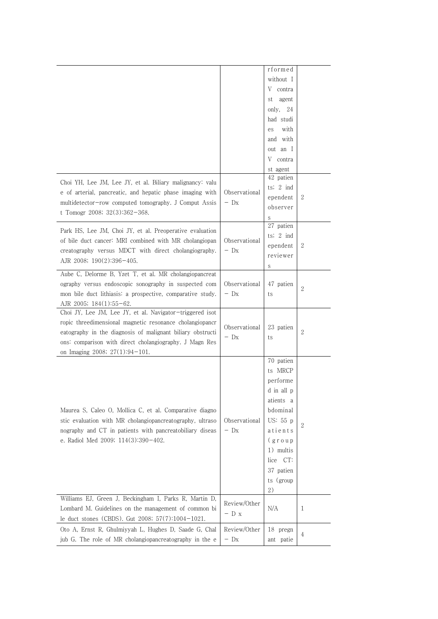|                                                            |               | rformed             |                |
|------------------------------------------------------------|---------------|---------------------|----------------|
|                                                            |               | without I           |                |
|                                                            |               | V<br>contra         |                |
|                                                            |               | st<br>agent         |                |
|                                                            |               | only, $24$          |                |
|                                                            |               | had studi           |                |
|                                                            |               | with                |                |
|                                                            |               | es                  |                |
|                                                            |               | and with            |                |
|                                                            |               | out an I            |                |
|                                                            |               | V contra            |                |
|                                                            |               | st agent            |                |
| Choi YH, Lee JM, Lee JY, et al. Biliary malignancy: valu   |               | 42 patien           |                |
| e of arterial, pancreatic, and hepatic phase imaging with  | Observational | ts; $2 \text{ ind}$ |                |
| multidetector-row computed tomography. J Comput Assis      | $-$ Dx        | ependent            | 2              |
| t Tomogr 2008; 32(3):362-368.                              |               | observer            |                |
|                                                            |               | S                   |                |
| Park HS, Lee JM, Choi JY, et al. Preoperative evaluation   |               | 27 patien           |                |
| of bile duct cancer: MRI combined with MR cholangiopan     | Observational | ts; $2$ ind         |                |
|                                                            |               | ependent            | 2              |
| creatography versus MDCT with direct cholangiography.      | $-$ Dx        | reviewer            |                |
| AJR 2008; 190(2):396-405.                                  |               | S                   |                |
| Aube C, Delorme B, Yzet T, et al. MR cholangiopancreat     |               |                     |                |
| ography versus endoscopic sonography in suspected com      | Observational | 47 patien           |                |
| mon bile duct lithiasis: a prospective, comparative study. | $-$ Dx        | ts                  | $\overline{2}$ |
| AJR 2005; 184(1):55-62.                                    |               |                     |                |
| Choi JY, Lee JM, Lee JY, et al. Navigator-triggered isot   |               |                     |                |
| ropic threedimensional magnetic resonance cholangiopancr   |               |                     |                |
| eatography in the diagnosis of malignant biliary obstructi | Observational | 23 patien           | $\overline{2}$ |
| ons: comparison with direct cholangiography. J Magn Res    | $-$ Dx        | ts                  |                |
| on Imaging 2008; 27(1):94-101.                             |               |                     |                |
|                                                            |               | 70 patien           |                |
|                                                            |               | ts MRCP             |                |
|                                                            |               |                     |                |
|                                                            |               | performe            |                |
|                                                            |               | d in all p          |                |
|                                                            |               | atients a           |                |
| Maurea S, Caleo O, Mollica C, et al. Comparative diagno    |               | bdominal            |                |
| stic evaluation with MR cholangiopancreatography, ultraso  | Observational | US: 55 p            |                |
| nography and CT in patients with pancreatobiliary diseas   | $-$ Dx        | atients             | $\overline{2}$ |
| e. Radiol Med 2009; 114(3):390-402.                        |               | (g r o u p          |                |
|                                                            |               | 1) multis           |                |
|                                                            |               | lice CT:            |                |
|                                                            |               |                     |                |
|                                                            |               | 37 patien           |                |
|                                                            |               | ts (group           |                |
|                                                            |               | 2)                  |                |
| Williams EJ, Green J, Beckingham I, Parks R, Martin D,     | Review/Other  |                     |                |
| Lombard M. Guidelines on the management of common bi       | $-$ D x       | N/A                 | 1              |
| le duct stones (CBDS). Gut 2008; 57(7):1004-1021.          |               |                     |                |
|                                                            |               |                     |                |
| Oto A, Ernst R, Ghulmiyyah L, Hughes D, Saade G, Chal      | Review/Other  | 18 pregn            |                |
| jub G. The role of MR cholangiopancreatography in the e    | $-$ Dx        | ant patie           | $\overline{4}$ |